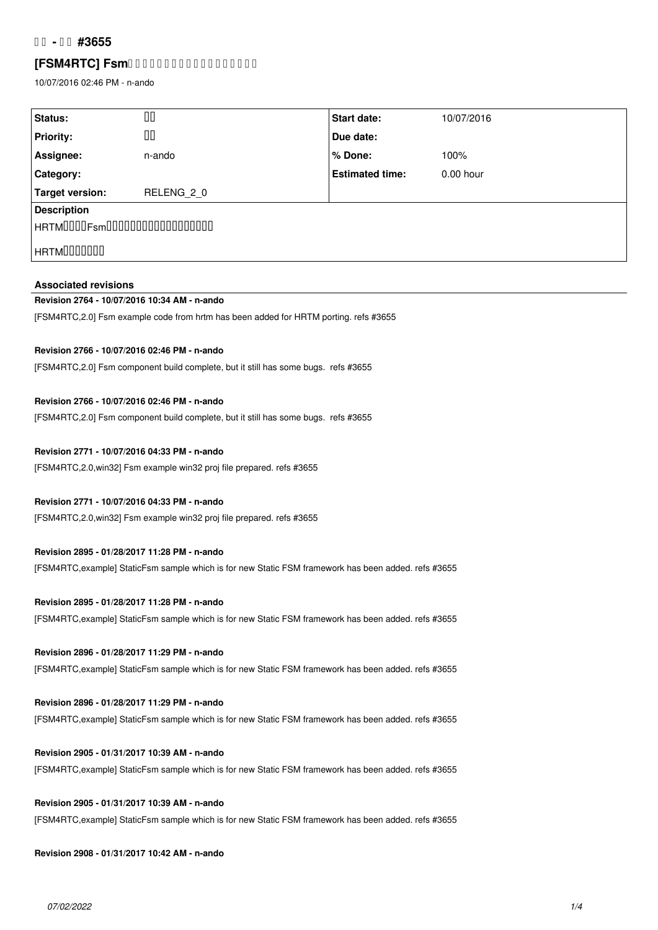## **コア - 整備 #3655**

## **[FSM4RTC] Fsm0000000000000000000**

10/07/2016 02:46 PM - n-ando

| Status:                               | 00         | Start date:            | 10/07/2016  |
|---------------------------------------|------------|------------------------|-------------|
| <b>Priority:</b>                      | 00         | Due date:              |             |
| Assignee:                             | n-ando     | % Done:                | 100%        |
| Category:                             |            | <b>Estimated time:</b> | $0.00$ hour |
| Target version:                       | RELENG 2 0 |                        |             |
| <b>Description</b>                    |            |                        |             |
| $\vert$ HRTM0000Fsm000000000000000000 |            |                        |             |
| HRTM000000                            |            |                        |             |
|                                       |            |                        |             |

## **Associated revisions**

## **Revision 2764 - 10/07/2016 10:34 AM - n-ando**

[FSM4RTC,2.0] Fsm example code from hrtm has been added for HRTM porting. refs #3655

### **Revision 2766 - 10/07/2016 02:46 PM - n-ando**

[FSM4RTC,2.0] Fsm component build complete, but it still has some bugs. refs #3655

### **Revision 2766 - 10/07/2016 02:46 PM - n-ando**

[FSM4RTC,2.0] Fsm component build complete, but it still has some bugs. refs #3655

### **Revision 2771 - 10/07/2016 04:33 PM - n-ando**

[FSM4RTC,2.0,win32] Fsm example win32 proj file prepared. refs #3655

### **Revision 2771 - 10/07/2016 04:33 PM - n-ando**

[FSM4RTC,2.0,win32] Fsm example win32 proj file prepared. refs #3655

### **Revision 2895 - 01/28/2017 11:28 PM - n-ando**

[FSM4RTC,example] StaticFsm sample which is for new Static FSM framework has been added. refs #3655

**Revision 2895 - 01/28/2017 11:28 PM - n-ando** [FSM4RTC,example] StaticFsm sample which is for new Static FSM framework has been added. refs #3655

## **Revision 2896 - 01/28/2017 11:29 PM - n-ando**

[FSM4RTC,example] StaticFsm sample which is for new Static FSM framework has been added. refs #3655

## **Revision 2896 - 01/28/2017 11:29 PM - n-ando**

[FSM4RTC,example] StaticFsm sample which is for new Static FSM framework has been added. refs #3655

## **Revision 2905 - 01/31/2017 10:39 AM - n-ando**

[FSM4RTC,example] StaticFsm sample which is for new Static FSM framework has been added. refs #3655

# **Revision 2905 - 01/31/2017 10:39 AM - n-ando** [FSM4RTC,example] StaticFsm sample which is for new Static FSM framework has been added. refs #3655

## **Revision 2908 - 01/31/2017 10:42 AM - n-ando**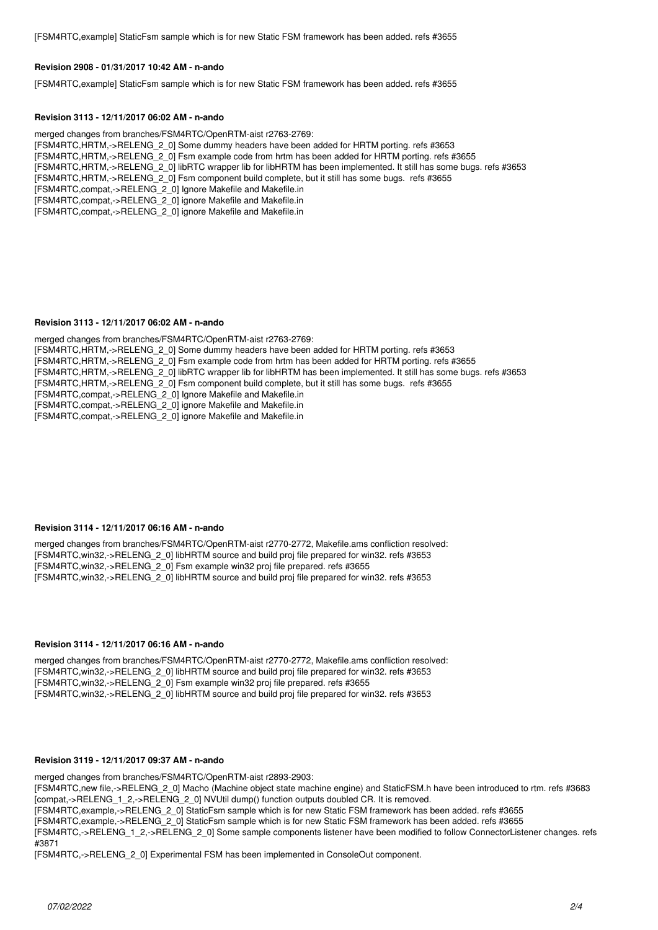[FSM4RTC,example] StaticFsm sample which is for new Static FSM framework has been added. refs #3655

#### **Revision 2908 - 01/31/2017 10:42 AM - n-ando**

[FSM4RTC,example] StaticFsm sample which is for new Static FSM framework has been added. refs #3655

#### **Revision 3113 - 12/11/2017 06:02 AM - n-ando**

merged changes from branches/FSM4RTC/OpenRTM-aist r2763-2769: [FSM4RTC,HRTM,->RELENG\_2\_0] Some dummy headers have been added for HRTM porting. refs #3653 [FSM4RTC,HRTM,->RELENG\_2\_0] Fsm example code from hrtm has been added for HRTM porting. refs #3655 [FSM4RTC,HRTM,->RELENG\_2\_0] libRTC wrapper lib for libHRTM has been implemented. It still has some bugs. refs #3653 [FSM4RTC,HRTM,->RELENG\_2\_0] Fsm component build complete, but it still has some bugs. refs #3655 [FSM4RTC,compat,->RELENG\_2\_0] Ignore Makefile and Makefile.in [FSM4RTC,compat,->RELENG\_2\_0] ignore Makefile and Makefile.in [FSM4RTC,compat,->RELENG\_2\_0] ignore Makefile and Makefile.in

#### **Revision 3113 - 12/11/2017 06:02 AM - n-ando**

merged changes from branches/FSM4RTC/OpenRTM-aist r2763-2769: [FSM4RTC,HRTM,->RELENG\_2\_0] Some dummy headers have been added for HRTM porting. refs #3653 [FSM4RTC,HRTM,->RELENG\_2\_0] Fsm example code from hrtm has been added for HRTM porting. refs #3655 [FSM4RTC,HRTM,->RELENG\_2\_0] libRTC wrapper lib for libHRTM has been implemented. It still has some bugs. refs #3653 [FSM4RTC,HRTM,->RELENG\_2\_0] Fsm component build complete, but it still has some bugs. refs #3655 [FSM4RTC,compat,->RELENG\_2\_0] Ignore Makefile and Makefile.in [FSM4RTC,compat,->RELENG\_2\_0] ignore Makefile and Makefile.in [FSM4RTC,compat,->RELENG\_2\_0] ignore Makefile and Makefile.in

#### **Revision 3114 - 12/11/2017 06:16 AM - n-ando**

merged changes from branches/FSM4RTC/OpenRTM-aist r2770-2772, Makefile.ams confliction resolved: [FSM4RTC,win32,->RELENG\_2\_0] libHRTM source and build proj file prepared for win32. refs #3653 [FSM4RTC,win32,->RELENG\_2\_0] Fsm example win32 proj file prepared. refs #3655 [FSM4RTC,win32,->RELENG\_2\_0] libHRTM source and build proj file prepared for win32. refs #3653

#### **Revision 3114 - 12/11/2017 06:16 AM - n-ando**

merged changes from branches/FSM4RTC/OpenRTM-aist r2770-2772, Makefile.ams confliction resolved: [FSM4RTC,win32,->RELENG\_2\_0] libHRTM source and build proj file prepared for win32. refs #3653 [FSM4RTC,win32,->RELENG\_2\_0] Fsm example win32 proj file prepared. refs #3655 [FSM4RTC,win32,->RELENG\_2\_0] libHRTM source and build proj file prepared for win32. refs #3653

#### **Revision 3119 - 12/11/2017 09:37 AM - n-ando**

merged changes from branches/FSM4RTC/OpenRTM-aist r2893-2903:

[FSM4RTC,new file,->RELENG\_2\_0] Macho (Machine object state machine engine) and StaticFSM.h have been introduced to rtm. refs #3683 [compat,->RELENG\_1\_2,->RELENG\_2\_0] NVUtil dump() function outputs doubled CR. It is removed.

[FSM4RTC,example,->RELENG\_2\_0] StaticFsm sample which is for new Static FSM framework has been added. refs #3655

[FSM4RTC,example,->RELENG\_2\_0] StaticFsm sample which is for new Static FSM framework has been added. refs #3655

[FSM4RTC,->RELENG\_1\_2,->RELENG\_2\_0] Some sample components listener have been modified to follow ConnectorListener changes. refs #3871

[FSM4RTC,->RELENG\_2\_0] Experimental FSM has been implemented in ConsoleOut component.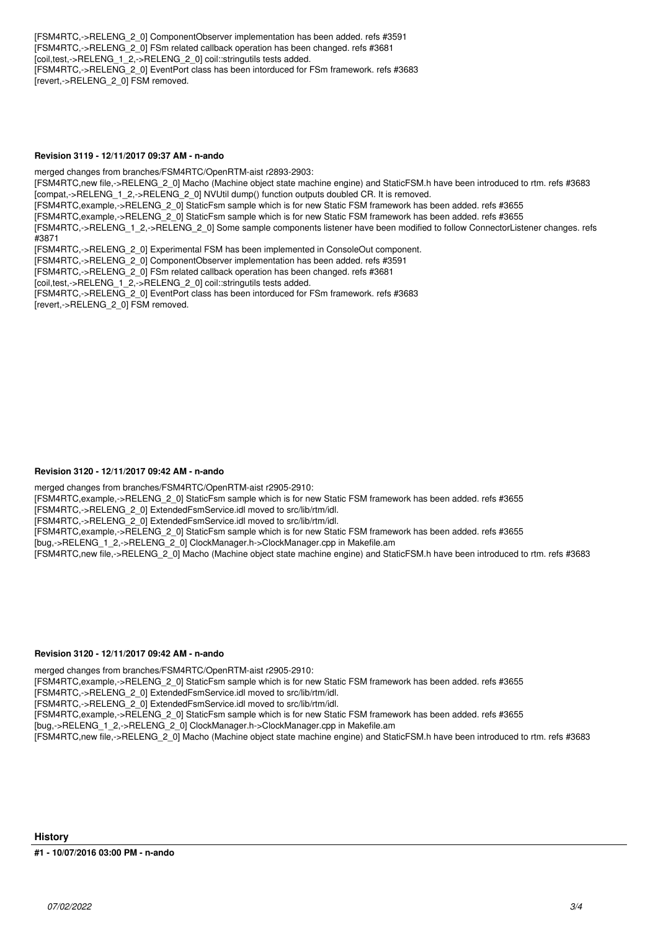[FSM4RTC,->RELENG\_2\_0] ComponentObserver implementation has been added. refs #3591 [FSM4RTC,->RELENG\_2\_0] FSm related callback operation has been changed. refs #3681 [coil,test,->RELENG\_1\_2,->RELENG\_2\_0] coil::stringutils tests added. [FSM4RTC,->RELENG\_2\_0] EventPort class has been intorduced for FSm framework. refs #3683 [revert,->RELENG\_2\_0] FSM removed.

#### **Revision 3119 - 12/11/2017 09:37 AM - n-ando**

merged changes from branches/FSM4RTC/OpenRTM-aist r2893-2903: [FSM4RTC,new file,->RELENG\_2\_0] Macho (Machine object state machine engine) and StaticFSM.h have been introduced to rtm. refs #3683 [compat,->RELENG\_1\_2,->RELENG\_2\_0] NVUtil dump() function outputs doubled CR. It is removed. [FSM4RTC,example,->RELENG\_2\_0] StaticFsm sample which is for new Static FSM framework has been added. refs #3655 [FSM4RTC,example,->RELENG\_2\_0] StaticFsm sample which is for new Static FSM framework has been added. refs #3655 [FSM4RTC,->RELENG\_1\_2,->RELENG\_2\_0] Some sample components listener have been modified to follow ConnectorListener changes. refs #3871 [FSM4RTC,->RELENG\_2\_0] Experimental FSM has been implemented in ConsoleOut component. [FSM4RTC,->RELENG\_2\_0] ComponentObserver implementation has been added. refs #3591 [FSM4RTC,->RELENG\_2\_0] FSm related callback operation has been changed. refs #3681 [coil,test,->RELENG\_1\_2,->RELENG\_2\_0] coil::stringutils tests added. [FSM4RTC,->RELENG\_2\_0] EventPort class has been intorduced for FSm framework. refs #3683 [revert,->RELENG\_2\_0] FSM removed.

### **Revision 3120 - 12/11/2017 09:42 AM - n-ando**

merged changes from branches/FSM4RTC/OpenRTM-aist r2905-2910:

[FSM4RTC,example,->RELENG\_2\_0] StaticFsm sample which is for new Static FSM framework has been added. refs #3655

[FSM4RTC,->RELENG\_2\_0] ExtendedFsmService.idl moved to src/lib/rtm/idl.

[FSM4RTC,->RELENG\_2\_0] ExtendedFsmService.idl moved to src/lib/rtm/idl.

[FSM4RTC,example,->RELENG\_2\_0] StaticFsm sample which is for new Static FSM framework has been added. refs #3655

[bug,->RELENG\_1\_2,->RELENG\_2\_0] ClockManager.h->ClockManager.cpp in Makefile.am

[FSM4RTC,new file,->RELENG\_2\_0] Macho (Machine object state machine engine) and StaticFSM.h have been introduced to rtm. refs #3683

#### **Revision 3120 - 12/11/2017 09:42 AM - n-ando**

merged changes from branches/FSM4RTC/OpenRTM-aist r2905-2910:

[FSM4RTC,example,->RELENG\_2\_0] StaticFsm sample which is for new Static FSM framework has been added. refs #3655

[FSM4RTC,->RELENG\_2\_0] ExtendedFsmService.idl moved to src/lib/rtm/idl. [FSM4RTC,->RELENG\_2\_0] ExtendedFsmService.idl moved to src/lib/rtm/idl.

[FSM4RTC,example,->RELENG\_2\_0] StaticFsm sample which is for new Static FSM framework has been added. refs #3655

[bug,->RELENG\_1\_2,->RELENG\_2\_0] ClockManager.h->ClockManager.cpp in Makefile.am

[FSM4RTC,new file,->RELENG\_2\_0] Macho (Machine object state machine engine) and StaticFSM.h have been introduced to rtm. refs #3683